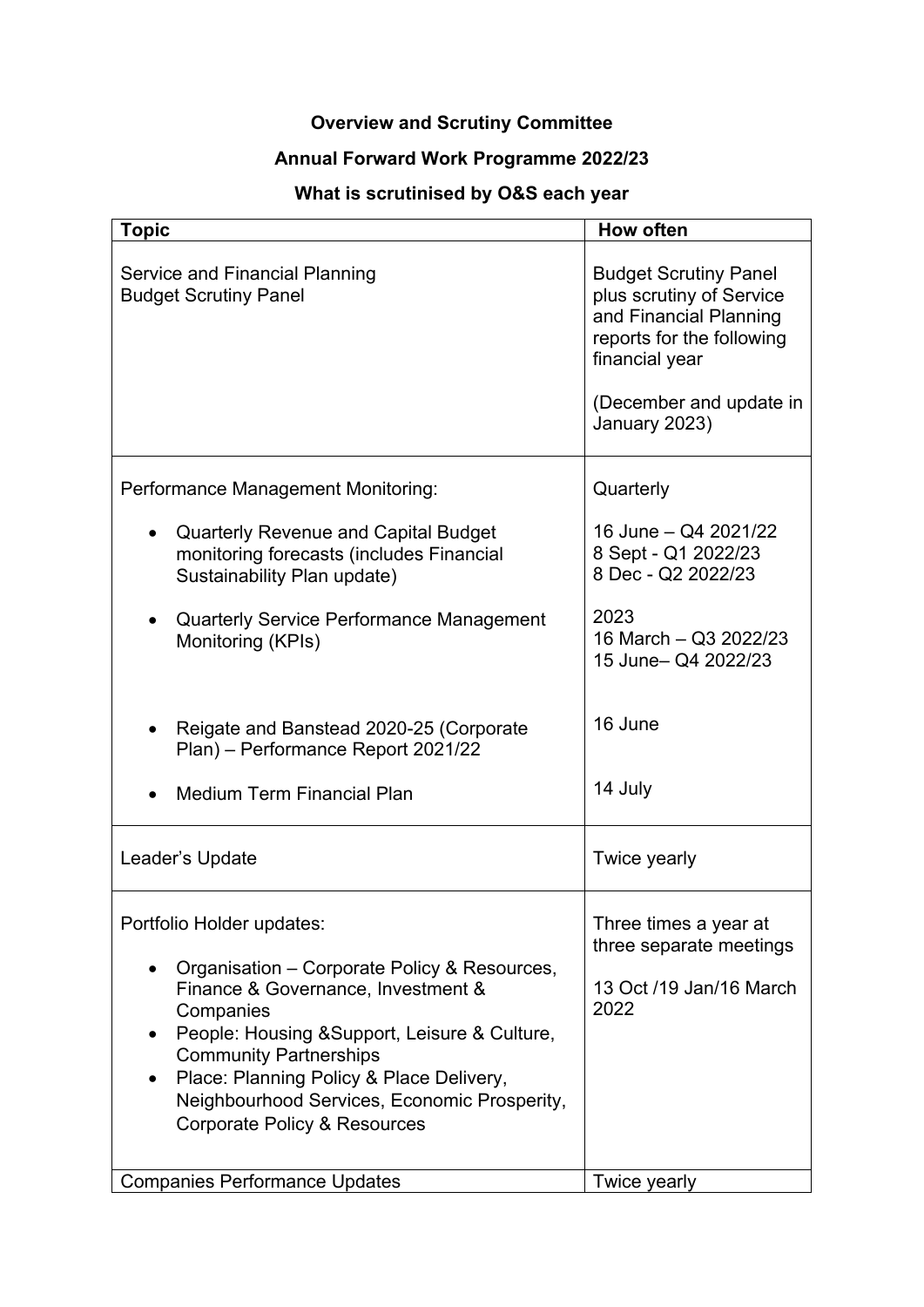# **Overview and Scrutiny Committee**

### **Annual Forward Work Programme 2022/23**

## **What is scrutinised by O&S each year**

| <b>Topic</b>                                                                                                                                                                                                                  | <b>How often</b>                                                                                                                  |
|-------------------------------------------------------------------------------------------------------------------------------------------------------------------------------------------------------------------------------|-----------------------------------------------------------------------------------------------------------------------------------|
| <b>Service and Financial Planning</b><br><b>Budget Scrutiny Panel</b>                                                                                                                                                         | <b>Budget Scrutiny Panel</b><br>plus scrutiny of Service<br>and Financial Planning<br>reports for the following<br>financial year |
|                                                                                                                                                                                                                               | (December and update in<br>January 2023)                                                                                          |
| <b>Performance Management Monitoring:</b>                                                                                                                                                                                     | Quarterly                                                                                                                         |
| <b>Quarterly Revenue and Capital Budget</b><br>monitoring forecasts (includes Financial<br>Sustainability Plan update)                                                                                                        | 16 June - Q4 2021/22<br>8 Sept - Q1 2022/23<br>8 Dec - Q2 2022/23                                                                 |
| <b>Quarterly Service Performance Management</b><br>Monitoring (KPIs)                                                                                                                                                          | 2023<br>16 March - Q3 2022/23<br>15 June- Q4 2022/23                                                                              |
| Reigate and Banstead 2020-25 (Corporate<br>Plan) - Performance Report 2021/22                                                                                                                                                 | 16 June                                                                                                                           |
| <b>Medium Term Financial Plan</b>                                                                                                                                                                                             | 14 July                                                                                                                           |
| Leader's Update                                                                                                                                                                                                               | Twice yearly                                                                                                                      |
| Portfolio Holder updates:                                                                                                                                                                                                     | Three times a year at<br>three separate meetings                                                                                  |
| Organisation – Corporate Policy & Resources,<br>Finance & Governance, Investment &<br>Companies<br>People: Housing & Support, Leisure & Culture,<br><b>Community Partnerships</b><br>Place: Planning Policy & Place Delivery, | 13 Oct /19 Jan/16 March<br>2022                                                                                                   |
| Neighbourhood Services, Economic Prosperity,<br><b>Corporate Policy &amp; Resources</b>                                                                                                                                       |                                                                                                                                   |
| <b>Companies Performance Updates</b>                                                                                                                                                                                          | Twice yearly                                                                                                                      |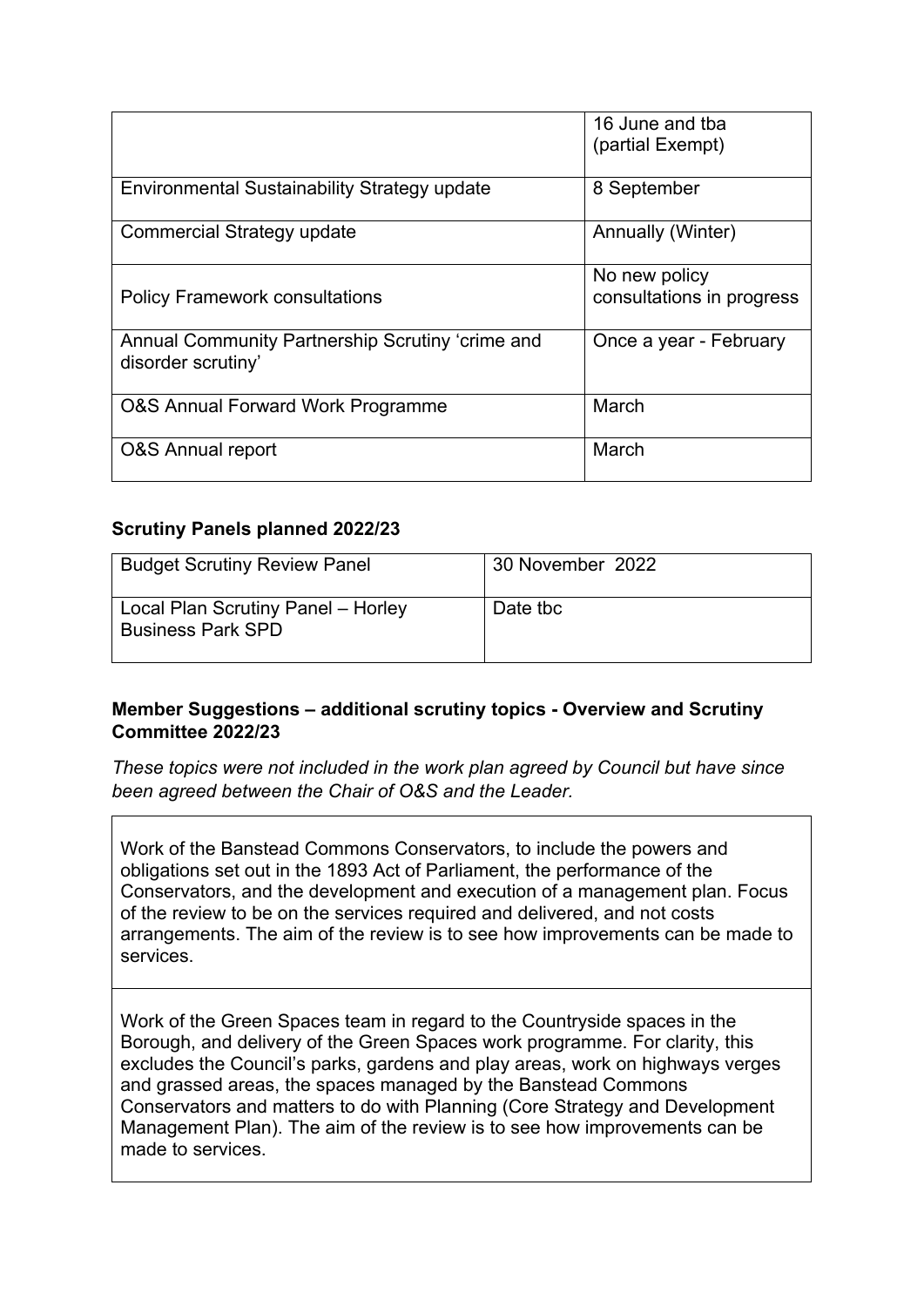|                                                                        | 16 June and tba<br>(partial Exempt)        |
|------------------------------------------------------------------------|--------------------------------------------|
| <b>Environmental Sustainability Strategy update</b>                    | 8 September                                |
| Commercial Strategy update                                             | Annually (Winter)                          |
| <b>Policy Framework consultations</b>                                  | No new policy<br>consultations in progress |
| Annual Community Partnership Scrutiny 'crime and<br>disorder scrutiny' | Once a year - February                     |
| O&S Annual Forward Work Programme                                      | March                                      |
| <b>O&amp;S</b> Annual report                                           | March                                      |

#### **Scrutiny Panels planned 2022/23**

| <b>Budget Scrutiny Review Panel</b>                            | 30 November 2022 |
|----------------------------------------------------------------|------------------|
| Local Plan Scrutiny Panel - Horley<br><b>Business Park SPD</b> | Date tbc         |

#### **Member Suggestions – additional scrutiny topics - Overview and Scrutiny Committee 2022/23**

*These topics were not included in the work plan agreed by Council but have since been agreed between the Chair of O&S and the Leader.*

Work of the Banstead Commons Conservators, to include the powers and obligations set out in the 1893 Act of Parliament, the performance of the Conservators, and the development and execution of a management plan. Focus of the review to be on the services required and delivered, and not costs arrangements. The aim of the review is to see how improvements can be made to services.

Work of the Green Spaces team in regard to the Countryside spaces in the Borough, and delivery of the Green Spaces work programme. For clarity, this excludes the Council's parks, gardens and play areas, work on highways verges and grassed areas, the spaces managed by the Banstead Commons Conservators and matters to do with Planning (Core Strategy and Development Management Plan). The aim of the review is to see how improvements can be made to services.